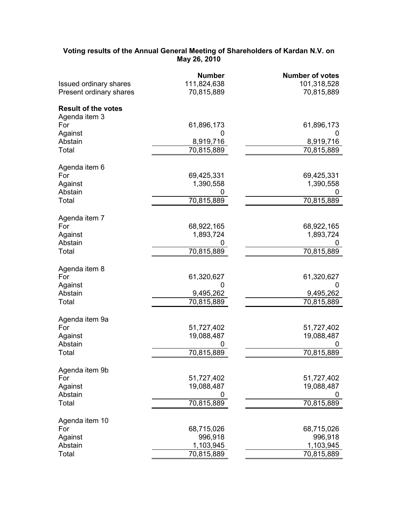## **Voting results of the Annual General Meeting of Shareholders of Kardan N.V. on May 26, 2010**

|                               | <b>Number</b> | <b>Number of votes</b> |
|-------------------------------|---------------|------------------------|
| <b>Issued ordinary shares</b> | 111,824,638   | 101,318,528            |
| Present ordinary shares       | 70,815,889    | 70,815,889             |
| <b>Result of the votes</b>    |               |                        |
| Agenda item 3                 |               |                        |
| For                           | 61,896,173    | 61,896,173             |
| Against                       | 0             | Ü                      |
| Abstain                       | 8,919,716     | 8,919,716              |
| Total                         | 70,815,889    | 70,815,889             |
| Agenda item 6                 |               |                        |
| For                           | 69,425,331    | 69,425,331             |
| Against                       | 1,390,558     | 1,390,558              |
| Abstain                       |               |                        |
| Total                         | 70,815,889    | 70,815,889             |
|                               |               |                        |
| Agenda item 7                 |               |                        |
| For                           | 68,922,165    | 68,922,165             |
| Against                       | 1,893,724     | 1,893,724              |
| Abstain                       |               |                        |
| Total                         | 70,815,889    | 70,815,889             |
| Agenda item 8                 |               |                        |
| For                           | 61,320,627    | 61,320,627             |
| Against                       | 0             | 0                      |
| Abstain                       | 9,495,262     | 9,495,262              |
| Total                         | 70,815,889    | 70,815,889             |
|                               |               |                        |
| Agenda item 9a                |               |                        |
| For                           | 51,727,402    | 51,727,402             |
| Against                       | 19,088,487    | 19,088,487             |
| Abstain<br>Total              |               |                        |
|                               | 70,815,889    | 70,815,889             |
| Agenda item 9b                |               |                        |
| For                           | 51,727,402    | 51,727,402             |
| Against                       | 19,088,487    | 19,088,487             |
| Abstain                       |               |                        |
| Total                         | 70,815,889    | 70,815,889             |
| Agenda item 10                |               |                        |
| For                           | 68,715,026    | 68,715,026             |
| Against                       | 996,918       | 996,918                |
| Abstain                       | 1,103,945     | 1,103,945              |
| Total                         | 70,815,889    | 70,815,889             |
|                               |               |                        |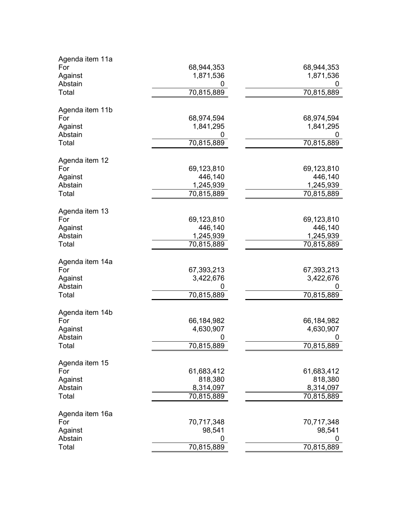| Agenda item 11a        |                |                |
|------------------------|----------------|----------------|
| For                    | 68,944,353     | 68,944,353     |
| Against                | 1,871,536      | 1,871,536      |
| Abstain                | 0              |                |
| Total                  | 70,815,889     | 70,815,889     |
|                        |                |                |
| Agenda item 11b<br>For | 68,974,594     | 68,974,594     |
|                        |                |                |
| Against                | 1,841,295      | 1,841,295      |
| Abstain                |                |                |
| Total                  | 70,815,889     | 70,815,889     |
| Agenda item 12         |                |                |
| For                    | 69,123,810     | 69,123,810     |
| Against                | 446,140        | 446,140        |
| Abstain                | 1,245,939      | 1,245,939      |
| Total                  | 70,815,889     | 70,815,889     |
| Agenda item 13         |                |                |
| For                    | 69,123,810     | 69,123,810     |
| Against                | 446,140        | 446,140        |
| Abstain                | 1,245,939      | 1,245,939      |
| Total                  | 70,815,889     | 70,815,889     |
|                        |                |                |
| Agenda item 14a        |                |                |
| For                    | 67,393,213     | 67,393,213     |
| Against                | 3,422,676      | 3,422,676      |
| Abstain                |                |                |
| Total                  | 70,815,889     | 70,815,889     |
|                        |                |                |
| Agenda item 14b        |                |                |
| For                    | 66,184,982     | 66,184,982     |
| Against<br>Abstain     | 4,630,907<br>0 | 4,630,907<br>0 |
| Total                  | 70,815,889     | 70,815,889     |
|                        |                |                |
| Agenda item 15         |                |                |
| For                    | 61,683,412     | 61,683,412     |
| Against                | 818,380        | 818,380        |
| Abstain                | 8,314,097      | 8,314,097      |
| Total                  | 70,815,889     | 70,815,889     |
| Agenda item 16a        |                |                |
| For                    | 70,717,348     | 70,717,348     |
| Against                | 98,541         | 98,541         |
| Abstain                | 0              |                |
| Total                  | 70,815,889     | 70,815,889     |
|                        |                |                |